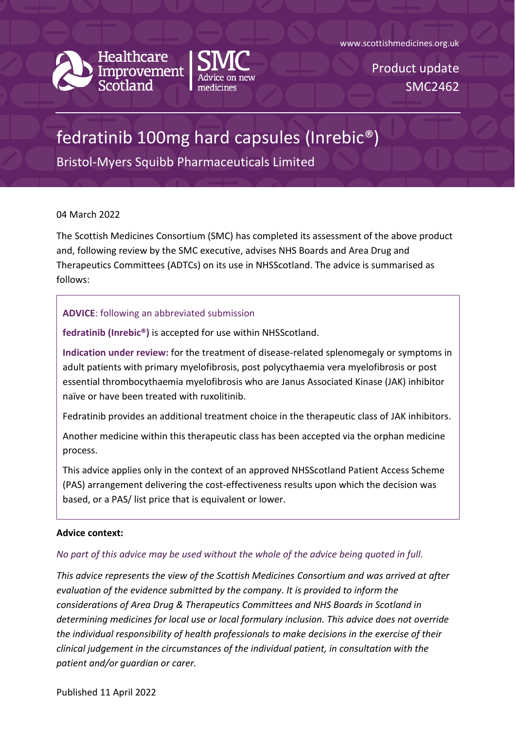www.scottishmedicines.org.uk



Healthcare<br>Improvement



Product update SMC2462

# fedratinib 100mg hard capsules (Inrebic®)

Bristol-Myers Squibb Pharmaceuticals Limited

### 04 March 2022

The Scottish Medicines Consortium (SMC) has completed its assessment of the above product and, following review by the SMC executive, advises NHS Boards and Area Drug and Therapeutics Committees (ADTCs) on its use in NHSScotland. The advice is summarised as follows:

# **ADVICE**: following an abbreviated submission

**fedratinib (Inrebic®)** is accepted for use within NHSScotland.

**Indication under review:** for the treatment of disease-related splenomegaly or symptoms in adult patients with primary myelofibrosis, post polycythaemia vera myelofibrosis or post essential thrombocythaemia myelofibrosis who are Janus Associated Kinase (JAK) inhibitor naïve or have been treated with ruxolitinib.

Fedratinib provides an additional treatment choice in the therapeutic class of JAK inhibitors.

Another medicine within this therapeutic class has been accepted via the orphan medicine process.

This advice applies only in the context of an approved NHSScotland Patient Access Scheme (PAS) arrangement delivering the cost-effectiveness results upon which the decision was based, or a PAS/ list price that is equivalent or lower.

### **Advice context:**

# *No part of this advice may be used without the whole of the advice being quoted in full.*

*This advice represents the view of the Scottish Medicines Consortium and was arrived at after evaluation of the evidence submitted by the company. It is provided to inform the considerations of Area Drug & Therapeutics Committees and NHS Boards in Scotland in determining medicines for local use or local formulary inclusion. This advice does not override the individual responsibility of health professionals to make decisions in the exercise of their clinical judgement in the circumstances of the individual patient, in consultation with the patient and/or guardian or carer.*